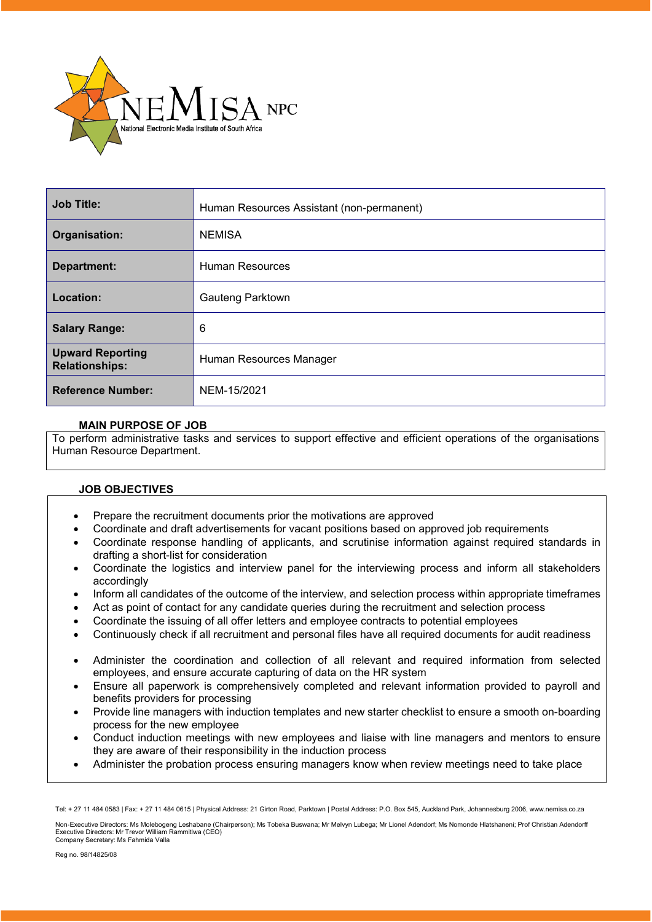

| <b>Job Title:</b>                                | Human Resources Assistant (non-permanent) |
|--------------------------------------------------|-------------------------------------------|
| <b>Organisation:</b>                             | <b>NEMISA</b>                             |
| Department:                                      | <b>Human Resources</b>                    |
| Location:                                        | Gauteng Parktown                          |
| <b>Salary Range:</b>                             | 6                                         |
| <b>Upward Reporting</b><br><b>Relationships:</b> | Human Resources Manager                   |
| <b>Reference Number:</b>                         | NEM-15/2021                               |

## **MAIN PURPOSE OF JOB**

To perform administrative tasks and services to support effective and efficient operations of the organisations Human Resource Department.

## **JOB OBJECTIVES**

- Prepare the recruitment documents prior the motivations are approved
- Coordinate and draft advertisements for vacant positions based on approved job requirements
- Coordinate response handling of applicants, and scrutinise information against required standards in drafting a short-list for consideration
- Coordinate the logistics and interview panel for the interviewing process and inform all stakeholders accordingly
- Inform all candidates of the outcome of the interview, and selection process within appropriate timeframes
- Act as point of contact for any candidate queries during the recruitment and selection process
- Coordinate the issuing of all offer letters and employee contracts to potential employees
- Continuously check if all recruitment and personal files have all required documents for audit readiness
- Administer the coordination and collection of all relevant and required information from selected employees, and ensure accurate capturing of data on the HR system
- Ensure all paperwork is comprehensively completed and relevant information provided to payroll and benefits providers for processing
- Provide line managers with induction templates and new starter checklist to ensure a smooth on-boarding process for the new employee
- Conduct induction meetings with new employees and liaise with line managers and mentors to ensure they are aware of their responsibility in the induction process
- Administer the probation process ensuring managers know when review meetings need to take place

Non-Executive Directors: Ms Molebogeng Leshabane (Chairperson); Ms Tobeka Buswana; Mr Melvyn Lubega; Mr Lionel Adendorf; Ms Nomonde Hlatshaneni; Prof Christian Adendorff Executive Directors: Mr Trevor William Rammitlwa (CEO) Company Secretary: Ms Fahmida Valla

Tel: + 27 11 484 0583 | Fax: + 27 11 484 0615 | Physical Address: 21 Girton Road, Parktown | Postal Address: P.O. Box 545, Auckland Park, Johannesburg 2006, www.nemisa.co.za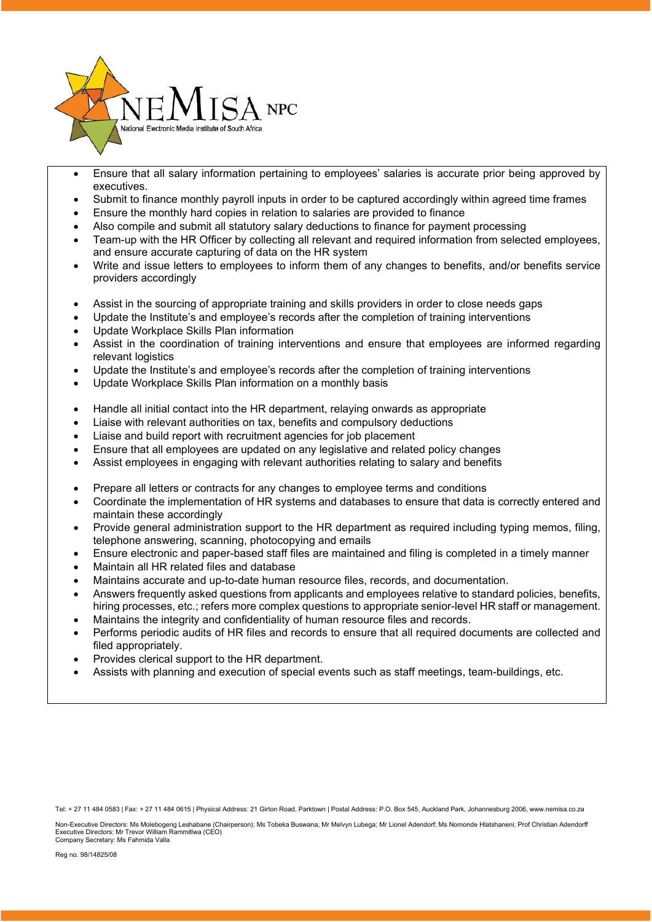

- Ensure that all salary information pertaining to employees' salaries is accurate prior being approved by executives.
- Submit to finance monthly payroll inputs in order to be captured accordingly within agreed time frames
- Ensure the monthly hard copies in relation to salaries are provided to finance
- Also compile and submit all statutory salary deductions to finance for payment processing
- Team-up with the HR Officer by collecting all relevant and required information from selected employees, and ensure accurate capturing of data on the HR system
- Write and issue letters to employees to inform them of any changes to benefits, and/or benefits service providers accordingly
- Assist in the sourcing of appropriate training and skills providers in order to close needs gaps
- Update the Institute's and employee's records after the completion of training interventions
- Update Workplace Skills Plan information
- Assist in the coordination of training interventions and ensure that employees are informed regarding relevant logistics
- Update the Institute's and employee's records after the completion of training interventions
- Update Workplace Skills Plan information on a monthly basis
- Handle all initial contact into the HR department, relaying onwards as appropriate
- Liaise with relevant authorities on tax, benefits and compulsory deductions
- Liaise and build report with recruitment agencies for job placement
- Ensure that all employees are updated on any legislative and related policy changes
- Assist employees in engaging with relevant authorities relating to salary and benefits
- Prepare all letters or contracts for any changes to employee terms and conditions
- Coordinate the implementation of HR systems and databases to ensure that data is correctly entered and maintain these accordingly
- Provide general administration support to the HR department as required including typing memos, filing, telephone answering, scanning, photocopying and emails
- Ensure electronic and paper-based staff files are maintained and filing is completed in a timely manner
- Maintain all HR related files and database
- Maintains accurate and up-to-date human resource files, records, and documentation.
- Answers frequently asked questions from applicants and employees relative to standard policies, benefits, hiring processes, etc.; refers more complex questions to appropriate senior-level HR staff or management.
- Maintains the integrity and confidentiality of human resource files and records.
- Performs periodic audits of HR files and records to ensure that all required documents are collected and filed appropriately.
- Provides clerical support to the HR department.
- Assists with planning and execution of special events such as staff meetings, team-buildings, etc.

Non-Executive Directors: Ms Molebogeng Leshabane (Chairperson); Ms Tobeka Buswana; Mr Melvyn Lubega; Mr Lionel Adendorf; Ms Nomonde Hlatshaneni; Prof Christian Adendorff Executive Directors: Mr Trevor William Rammitlwa (CEO) Company Secretary: Ms Fahmida Valla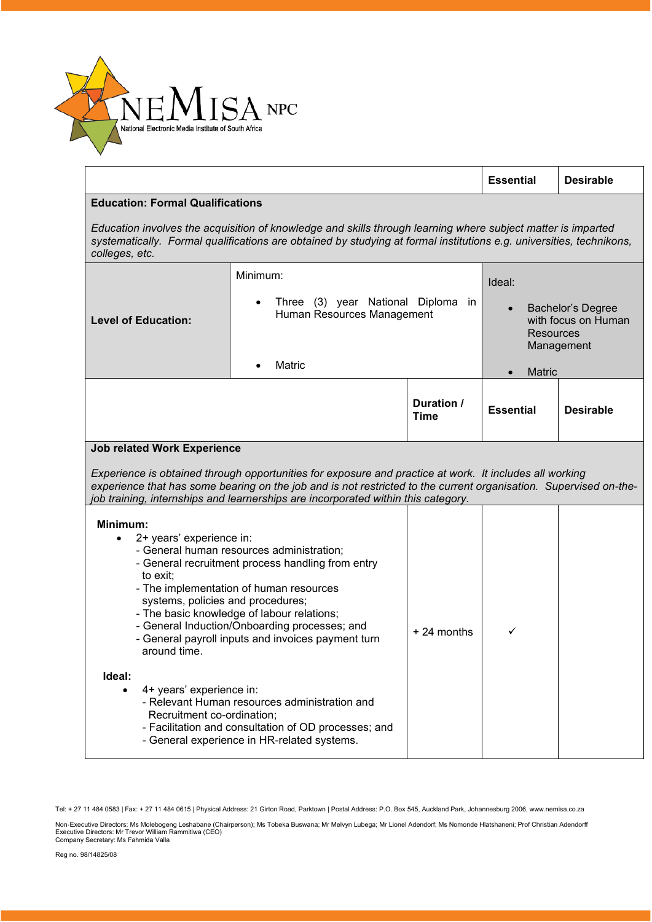

|                                                                                                                                                                                                                                                                                                                                                                                                                                |                                                                                                                                                                                                                                      |                           | <b>Essential</b>                                                                                                          | <b>Desirable</b> |
|--------------------------------------------------------------------------------------------------------------------------------------------------------------------------------------------------------------------------------------------------------------------------------------------------------------------------------------------------------------------------------------------------------------------------------|--------------------------------------------------------------------------------------------------------------------------------------------------------------------------------------------------------------------------------------|---------------------------|---------------------------------------------------------------------------------------------------------------------------|------------------|
| <b>Education: Formal Qualifications</b>                                                                                                                                                                                                                                                                                                                                                                                        |                                                                                                                                                                                                                                      |                           |                                                                                                                           |                  |
| colleges, etc.                                                                                                                                                                                                                                                                                                                                                                                                                 | Education involves the acquisition of knowledge and skills through learning where subject matter is imparted<br>systematically. Formal qualifications are obtained by studying at formal institutions e.g. universities, technikons, |                           |                                                                                                                           |                  |
| <b>Level of Education:</b>                                                                                                                                                                                                                                                                                                                                                                                                     | Minimum:<br>Three (3) year National Diploma in<br>Human Resources Management<br>Matric                                                                                                                                               |                           | Ideal:<br><b>Bachelor's Degree</b><br>with focus on Human<br><b>Resources</b><br>Management<br><b>Matric</b><br>$\bullet$ |                  |
|                                                                                                                                                                                                                                                                                                                                                                                                                                |                                                                                                                                                                                                                                      | Duration /<br><b>Time</b> | <b>Essential</b>                                                                                                          | <b>Desirable</b> |
| <b>Job related Work Experience</b><br>Experience is obtained through opportunities for exposure and practice at work. It includes all working<br>experience that has some bearing on the job and is not restricted to the current organisation. Supervised on-the-<br>job training, internships and learnerships are incorporated within this category.                                                                        |                                                                                                                                                                                                                                      |                           |                                                                                                                           |                  |
| Minimum:<br>2+ years' experience in:<br>$\bullet$<br>- General human resources administration;<br>- General recruitment process handling from entry<br>to exit;<br>- The implementation of human resources<br>systems, policies and procedures;<br>- The basic knowledge of labour relations;<br>- General Induction/Onboarding processes; and<br>- General payroll inputs and invoices payment turn<br>around time.<br>Ideal: |                                                                                                                                                                                                                                      | $+24$ months              | ✓                                                                                                                         |                  |
| 4+ years' experience in:<br>- Relevant Human resources administration and<br>Recruitment co-ordination;<br>- Facilitation and consultation of OD processes; and<br>- General experience in HR-related systems.                                                                                                                                                                                                                 |                                                                                                                                                                                                                                      |                           |                                                                                                                           |                  |

Tel: + 27 11 484 0583 | Fax: + 27 11 484 0615 | Physical Address: 21 Girton Road, Parktown | Postal Address: P.O. Box 545, Auckland Park, Johannesburg 2006, www.nemisa.co.za

Non-Executive Directors: Ms Molebogeng Leshabane (Chairperson); Ms Tobeka Buswana; Mr Melvyn Lubega; Mr Lionel Adendorf; Ms Nomonde Hlatshaneni; Prof Christian Adendorfl<br>Executive Directors: Mr Trevor William Rammitlwa (CE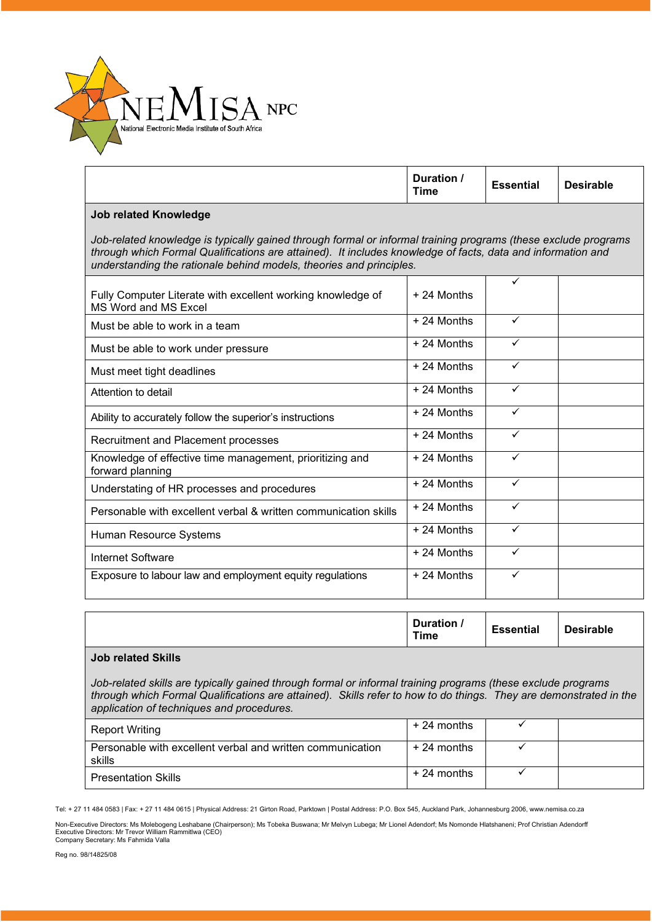

|                                                                                                                                                                                                                                                                                                      | Duration /<br><b>Time</b> | <b>Essential</b> | <b>Desirable</b> |
|------------------------------------------------------------------------------------------------------------------------------------------------------------------------------------------------------------------------------------------------------------------------------------------------------|---------------------------|------------------|------------------|
| <b>Job related Knowledge</b>                                                                                                                                                                                                                                                                         |                           |                  |                  |
| Job-related knowledge is typically gained through formal or informal training programs (these exclude programs<br>through which Formal Qualifications are attained). It includes knowledge of facts, data and information and<br>understanding the rationale behind models, theories and principles. |                           |                  |                  |
| Fully Computer Literate with excellent working knowledge of<br>MS Word and MS Excel                                                                                                                                                                                                                  | $+24$ Months              | ✓                |                  |
| Must be able to work in a team                                                                                                                                                                                                                                                                       | $+24$ Months              | ✓                |                  |
| Must be able to work under pressure                                                                                                                                                                                                                                                                  | $+24$ Months              | ✓                |                  |
| Must meet tight deadlines                                                                                                                                                                                                                                                                            | $+24$ Months              | ✓                |                  |
| Attention to detail                                                                                                                                                                                                                                                                                  | $+24$ Months              | ✓                |                  |
| Ability to accurately follow the superior's instructions                                                                                                                                                                                                                                             | $+24$ Months              | ✓                |                  |
| Recruitment and Placement processes                                                                                                                                                                                                                                                                  | $+24$ Months              | ✓                |                  |
| Knowledge of effective time management, prioritizing and<br>forward planning                                                                                                                                                                                                                         | $+24$ Months              | ✓                |                  |
| Understating of HR processes and procedures                                                                                                                                                                                                                                                          | $+24$ Months              | ✓                |                  |
| Personable with excellent verbal & written communication skills                                                                                                                                                                                                                                      | + 24 Months               | ✓                |                  |
| Human Resource Systems                                                                                                                                                                                                                                                                               | $+24$ Months              | ✓                |                  |
| Internet Software                                                                                                                                                                                                                                                                                    | $+24$ Months              | ✓                |                  |
| Exposure to labour law and employment equity regulations                                                                                                                                                                                                                                             | + 24 Months               | ✓                |                  |
|                                                                                                                                                                                                                                                                                                      |                           |                  |                  |

|  | Duration,<br><b>Time</b> | <b>Essential</b> | <b>Desirable</b> |  |
|--|--------------------------|------------------|------------------|--|
|--|--------------------------|------------------|------------------|--|

## **Job related Skills**

*Job-related skills are typically gained through formal or informal training programs (these exclude programs through which Formal Qualifications are attained). Skills refer to how to do things. They are demonstrated in the application of techniques and procedures.*

| <b>Report Writing</b>                                                | + 24 months  |  |
|----------------------------------------------------------------------|--------------|--|
| Personable with excellent verbal and written communication<br>skills | $+24$ months |  |
| <b>Presentation Skills</b>                                           | $+24$ months |  |

Tel: + 27 11 484 0583 | Fax: + 27 11 484 0615 | Physical Address: 21 Girton Road, Parktown | Postal Address: P.O. Box 545, Auckland Park, Johannesburg 2006, www.nemisa.co.za

Non-Executive Directors: Ms Molebogeng Leshabane (Chairperson); Ms Tobeka Buswana; Mr Melvyn Lubega; Mr Lionel Adendorf; Ms Nomonde Hlatshaneni; Prof Christian Adendorfl<br>Executive Directors: Mr Trevor William Rammitlwa (CE